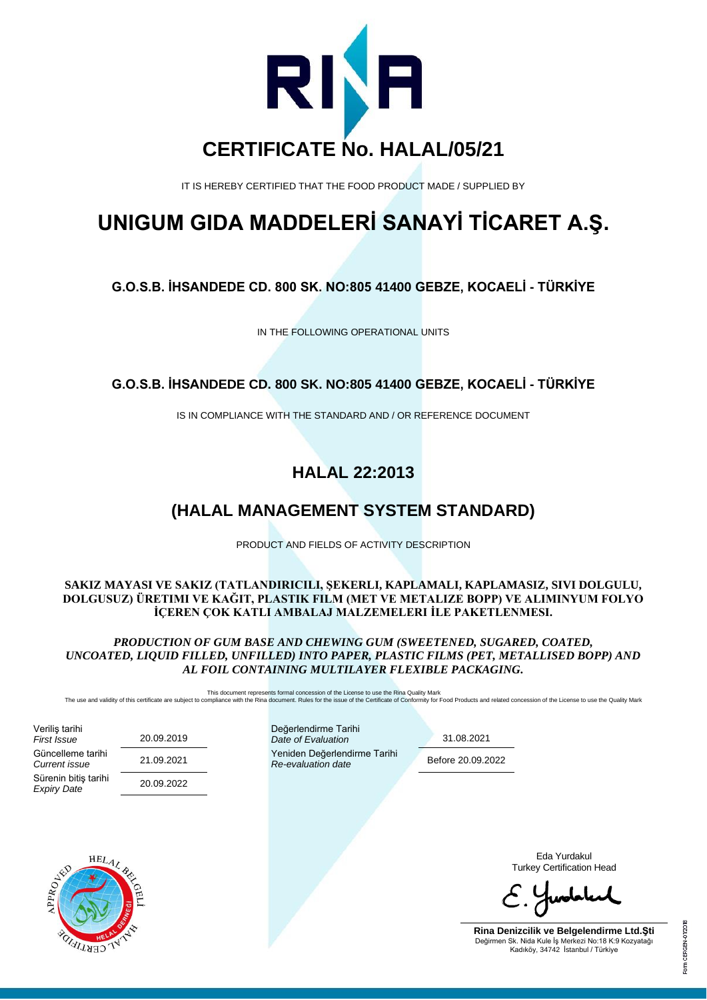

IT IS HEREBY CERTIFIED THAT THE FOOD PRODUCT MADE / SUPPLIED BY

# **UNIGUM GIDA MADDELERİ SANAYİ TİCARET A.Ş.**

**G.O.S.B. İHSANDEDE CD. 800 SK. NO:805 41400 GEBZE, KOCAELİ - TÜRKİYE**

IN THE FOLLOWING OPERATIONAL UNITS

### **G.O.S.B. İHSANDEDE CD. 800 SK. NO:805 41400 GEBZE, KOCAELİ - TÜRKİYE**

IS IN COMPLIANCE WITH THE STANDARD AND / OR REFERENCE DOCUMENT

# **HALAL 22:2013**

# **(HALAL MANAGEMENT SYSTEM STANDARD)**

PRODUCT AND FIELDS OF ACTIVITY DESCRIPTION

#### **SAKIZ MAYASI VE SAKIZ (TATLANDIRICILI, ŞEKERLI, KAPLAMALI, KAPLAMASIZ, SIVI DOLGULU, DOLGUSUZ) ÜRETIMI VE KAĞIT, PLASTIK FILM (MET VE METALIZE BOPP) VE ALIMINYUM FOLYO İÇEREN ÇOK KATLI AMBALAJ MALZEMELERI İLE PAKETLENMESI.**

*PRODUCTION OF GUM BASE AND CHEWING GUM (SWEETENED, SUGARED, COATED, UNCOATED, LIQUID FILLED, UNFILLED) INTO PAPER, PLASTIC FILMS (PET, METALLISED BOPP) AND AL FOIL CONTAINING MULTILAYER FLEXIBLE PACKAGING.*

This document represents formal concession of the License to use the Rina Quality Mark<br>The use and validity of this certificate are subject to compliance with the Rina document. Rules for the issue of the Certificate of Co

| Veriliş tarihi<br>First Issue<br>Güncelleme tarihi<br>Current issue<br>Sürenin bitiş tarihi | 20.09.2019<br>21.09.2021<br>20.09.2022 | Değerlendirme Tarihi<br>Date of Evaluation<br>Yeniden Değerlendirme Tarihi<br>Re-evaluation date |  | 31.08.2021<br>Before 20.09.2022 |                                                                                                                                        |
|---------------------------------------------------------------------------------------------|----------------------------------------|--------------------------------------------------------------------------------------------------|--|---------------------------------|----------------------------------------------------------------------------------------------------------------------------------------|
| <b>Expiry Date</b>                                                                          |                                        |                                                                                                  |  |                                 |                                                                                                                                        |
| $HEL_{4}$<br>APPROJEKT<br>CERTIFICS                                                         |                                        |                                                                                                  |  |                                 | Eda Yurdakul<br><b>Turkey Certification Head</b>                                                                                       |
|                                                                                             |                                        |                                                                                                  |  |                                 | $C.$ Hypotal                                                                                                                           |
|                                                                                             |                                        |                                                                                                  |  |                                 | Rina Denizcilik ve Belgelendirme Ltd.Sti<br>Değirmen Sk. Nida Kule İş Merkezi No:18 K:9 Kozyatağı<br>Kadıköy, 34742 İstanbul / Türkiye |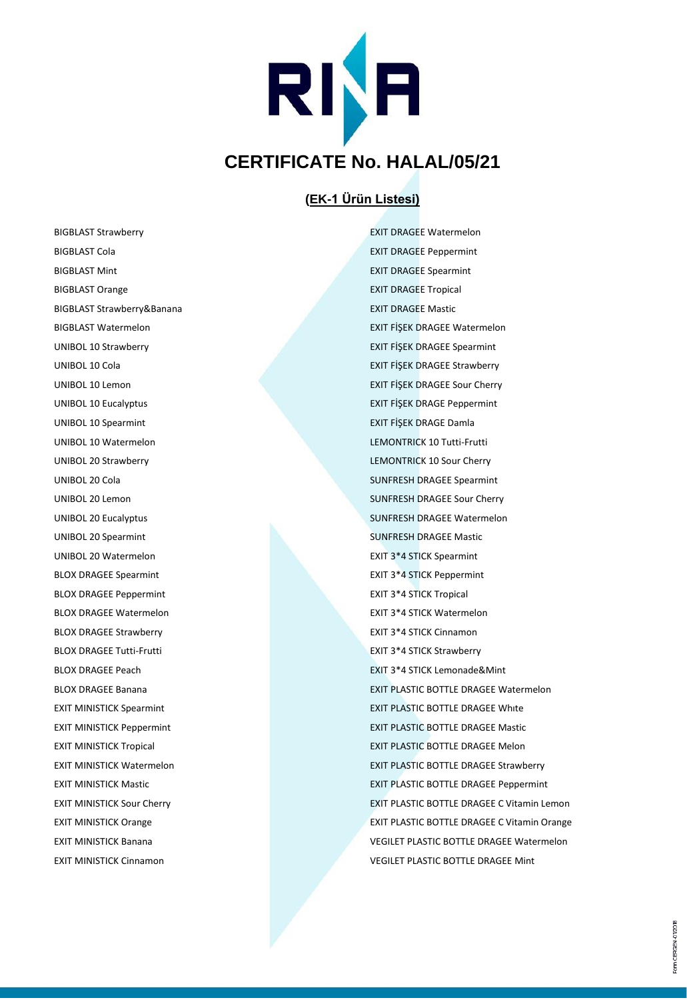

#### **(EK-1 Ürün Listesi)**

BIGBLAST Strawberry EXIT DRAGEE Watermelon BIGBLAST Cola **EXIT DRAGEE Peppermint** BIGBLAST Mint **EXIT DRAGEE Spearmint** BIGBLAST Orange **EXIT DRAGEE Tropical** BIGBLAST Strawberry&Banana EXIT DRAGEE Mastic UNIBOL 10 Spearmint EXIT FİŞEK DRAGE Damla UNIBOL 10 Watermelon LEMONTRICK 10 Tutti-Frutti UNIBOL 20 Strawberry LEMONTRICK 10 Sour Cherry UNIBOL 20 Spearmint SUNFRESH DRAGEE Mastic UNIBOL 20 Watermelon **EXIT 3\*4 STICK Spearmint** BLOX DRAGEE Spearmint **EXIT 3\*4 STICK Peppermint** BLOX DRAGEE Peppermint **EXIT 3\*4 STICK Tropical** BLOX DRAGEE Watermelon **EXIT 3\*4 STICK Watermelon** BLOX DRAGEE Strawberry **EXIT 3\*4 STICK Cinnamon** BLOX DRAGEE Tutti-Frutti EXIT 3\*4 STICK Strawberry

BIGBLAST Watermelon EXIT FİŞEK DRAGEE Watermelon UNIBOL 10 Strawberry EXIT FİŞEK DRAGEE Spearmint UNIBOL 10 Cola EXIT FİŞEK DRAGEE Strawberry UNIBOL 10 Lemon EXIT FİŞEK DRAGEE Sour Cherry UNIBOL 10 Eucalyptus EXIT FİŞEK DRAGE Peppermint UNIBOL 20 Cola SUNFRESH DRAGEE Spearmint UNIBOL 20 Lemon SUNFRESH DRAGEE Sour Cherry UNIBOL 20 Eucalyptus SUNFRESH DRAGEE Watermelon BLOX DRAGEE Peach **EXIT 3\*4 STICK Lemonade&Mint** BLOX DRAGEE Banana **EXIT PLASTIC BOTTLE DRAGEE Watermelon** EXIT MINISTICK Spearmint **EXIT PLASTIC BOTTLE DRAGEE White** EXIT MINISTICK Peppermint **EXIT PLASTIC BOTTLE DRAGEE Mastic** EXIT MINISTICK Tropical **EXIT PLASTIC BOTTLE DRAGEE Melon** EXIT MINISTICK Watermelon EXIT PLASTIC BOTTLE DRAGEE Strawberry EXIT MINISTICK Mastic EXIT PLASTIC BOTTLE DRAGEE Peppermint EXIT MINISTICK Sour Cherry **EXIT PLASTIC BOTTLE DRAGEE C Vitamin Lemon** EXIT MINISTICK Orange **EXIT PLASTIC BOTTLE DRAGEE C Vitamin Orange EXIT PLASTIC BOTTLE DRAGEE C Vitamin Orange** EXIT MINISTICK Banana VEGILET PLASTIC BOTTLE DRAGEE Watermelon EXIT MINISTICK Cinnamon **VEGILET PLASTIC BOTTLE DRAGEE Mint** 

Form CERGEN-01/2018